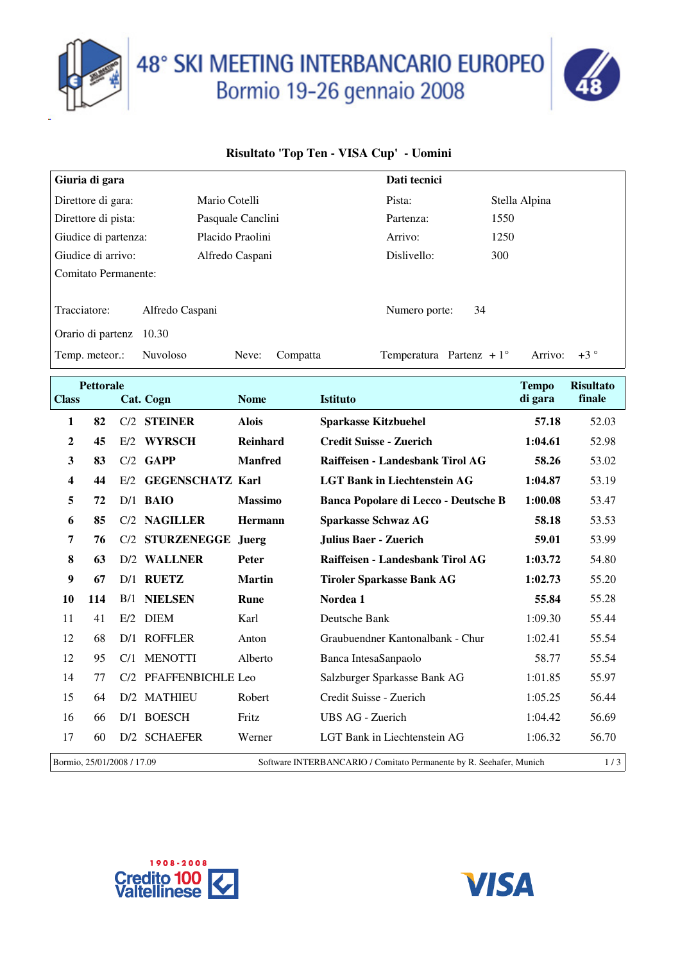

## 48° SKI MEETING INTERBANCARIO EUROPEO<br>Bormio 19-26 gennaio 2008



## **Risultato 'Top Ten - VISA Cup' - Uomini**

| Giuria di gara       |                 |                   |          |  | Dati tecnici                      |    |               |         |        |
|----------------------|-----------------|-------------------|----------|--|-----------------------------------|----|---------------|---------|--------|
| Direttore di gara:   |                 | Mario Cotelli     |          |  | Pista:                            |    | Stella Alpina |         |        |
| Direttore di pista:  |                 | Pasquale Canclini |          |  | Partenza:                         |    | 1550          |         |        |
| Giudice di partenza: |                 | Placido Praolini  |          |  | Arrivo:                           |    | 1250          |         |        |
| Giudice di arrivo:   |                 | Alfredo Caspani   |          |  | Dislivello:                       |    | 300           |         |        |
| Comitato Permanente: |                 |                   |          |  |                                   |    |               |         |        |
|                      |                 |                   |          |  |                                   |    |               |         |        |
| Tracciatore:         | Alfredo Caspani |                   |          |  | Numero porte:                     | 34 |               |         |        |
| Orario di partenz    | 10.30           |                   |          |  |                                   |    |               |         |        |
| Temp. meteor.:       | <b>Nuvoloso</b> | Neve:             | Compatta |  | Temperatura Partenz + $1^{\circ}$ |    |               | Arrivo: | $+3$ ° |

| <b>Class</b>               | <b>Pettorale</b> |     | Cat. Cogn               | <b>Nome</b>    | <b>Istituto</b>                                                     | <b>Tempo</b><br>di gara | <b>Risultato</b><br>finale |
|----------------------------|------------------|-----|-------------------------|----------------|---------------------------------------------------------------------|-------------------------|----------------------------|
|                            |                  |     |                         |                |                                                                     |                         |                            |
| 1                          | 82               | C/2 | <b>STEINER</b>          | <b>Alois</b>   | <b>Sparkasse Kitzbuehel</b>                                         | 57.18                   | 52.03                      |
| $\mathbf 2$                | 45               | E/2 | <b>WYRSCH</b>           | Reinhard       | <b>Credit Suisse - Zuerich</b>                                      | 1:04.61                 | 52.98                      |
| 3                          | 83               | C/2 | <b>GAPP</b>             | <b>Manfred</b> | Raiffeisen - Landesbank Tirol AG                                    | 58.26                   | 53.02                      |
| 4                          | 44               | E/2 | <b>GEGENSCHATZ Karl</b> |                | <b>LGT Bank in Liechtenstein AG</b>                                 | 1:04.87                 | 53.19                      |
| 5                          | 72               |     | $D/1$ BAIO              | <b>Massimo</b> | Banca Popolare di Lecco - Deutsche B                                | 1:00.08                 | 53.47                      |
| 6                          | 85               |     | C/2 NAGILLER            | <b>Hermann</b> | <b>Sparkasse Schwaz AG</b>                                          | 58.18                   | 53.53                      |
| 7                          | 76               | C/2 | <b>STURZENEGGE</b>      | Juerg          | <b>Julius Baer - Zuerich</b>                                        | 59.01                   | 53.99                      |
| 8                          | 63               | D/2 | <b>WALLNER</b>          | <b>Peter</b>   | Raiffeisen - Landesbank Tirol AG                                    | 1:03.72                 | 54.80                      |
| 9                          | 67               | D/1 | <b>RUETZ</b>            | <b>Martin</b>  | <b>Tiroler Sparkasse Bank AG</b>                                    | 1:02.73                 | 55.20                      |
| 10                         | 114              | B/1 | <b>NIELSEN</b>          | Rune           | Nordea 1                                                            | 55.84                   | 55.28                      |
| 11                         | 41               | E/2 | <b>DIEM</b>             | Karl           | Deutsche Bank                                                       | 1:09.30                 | 55.44                      |
| 12                         | 68               | D/1 | <b>ROFFLER</b>          | Anton          | Graubuendner Kantonalbank - Chur                                    | 1:02.41                 | 55.54                      |
| 12                         | 95               | C/1 | <b>MENOTTI</b>          | Alberto        | Banca IntesaSanpaolo                                                | 58.77                   | 55.54                      |
| 14                         | 77               | C/2 | PFAFFENBICHLE Leo       |                | Salzburger Sparkasse Bank AG                                        | 1:01.85                 | 55.97                      |
| 15                         | 64               |     | D/2 MATHIEU             | Robert         | Credit Suisse - Zuerich                                             | 1:05.25                 | 56.44                      |
| 16                         | 66               |     | D/1 BOESCH              | Fritz          | UBS AG - Zuerich                                                    | 1:04.42                 | 56.69                      |
| 17                         | 60               |     | D/2 SCHAEFER            | Werner         | LGT Bank in Liechtenstein AG                                        | 1:06.32                 | 56.70                      |
| Bormio, 25/01/2008 / 17.09 |                  |     |                         |                | Software INTERBANCARIO / Comitato Permanente by R. Seehafer, Munich |                         | 1/3                        |



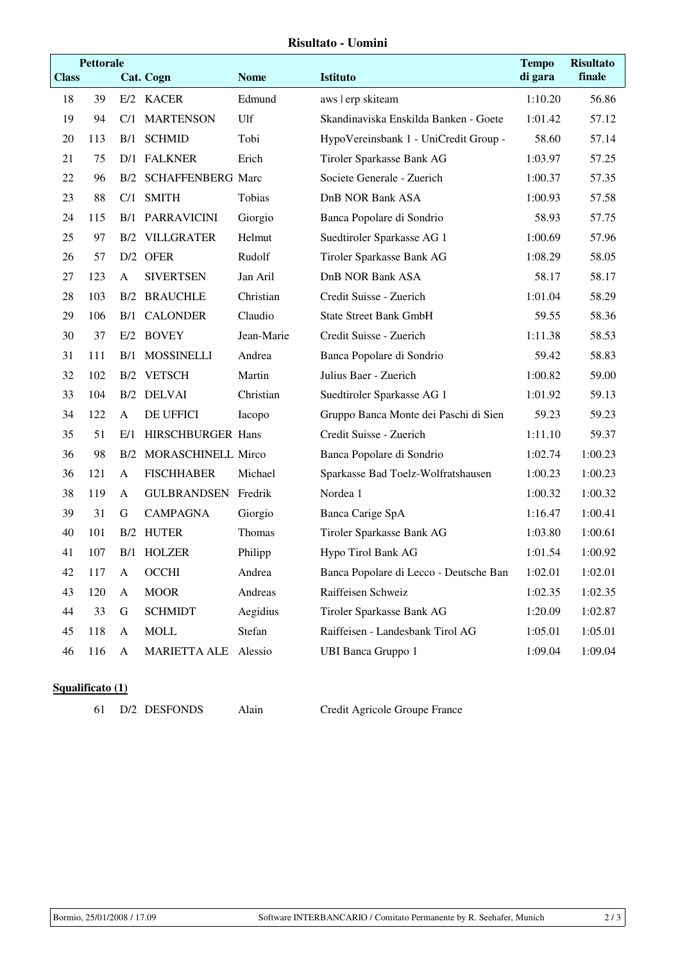## **Risultato - Uomini**

|              | <b>Pettorale</b> |              |                          |             |                                        | <b>Tempo</b> | <b>Risultato</b> |
|--------------|------------------|--------------|--------------------------|-------------|----------------------------------------|--------------|------------------|
| <b>Class</b> |                  |              | <b>Cat. Cogn</b>         | <b>Nome</b> | Istituto                               | di gara      | finale           |
| 18           | 39               |              | E/2 KACER                | Edmund      | aws lerp skiteam                       | 1:10.20      | 56.86            |
| 19           | 94               | C/1          | <b>MARTENSON</b>         | Ulf         | Skandinaviska Enskilda Banken - Goete  | 1:01.42      | 57.12            |
| 20           | 113              | B/1          | <b>SCHMID</b>            | Tobi        | HypoVereinsbank 1 - UniCredit Group -  | 58.60        | 57.14            |
| 21           | 75               |              | D/1 FALKNER              | Erich       | Tiroler Sparkasse Bank AG              | 1:03.97      | 57.25            |
| 22           | 96               | B/2          | <b>SCHAFFENBERG Marc</b> |             | Societe Generale - Zuerich             | 1:00.37      | 57.35            |
| 23           | 88               | C/1          | <b>SMITH</b>             | Tobias      | <b>DnB NOR Bank ASA</b>                | 1:00.93      | 57.58            |
| 24           | 115              | B/1          | <b>PARRAVICINI</b>       | Giorgio     | Banca Popolare di Sondrio              | 58.93        | 57.75            |
| 25           | 97               | B/2          | <b>VILLGRATER</b>        | Helmut      | Suedtiroler Sparkasse AG 1             | 1:00.69      | 57.96            |
| 26           | 57               |              | D/2 OFER                 | Rudolf      | Tiroler Sparkasse Bank AG              | 1:08.29      | 58.05            |
| 27           | 123              | $\mathbf{A}$ | <b>SIVERTSEN</b>         | Jan Aril    | <b>DnB NOR Bank ASA</b>                | 58.17        | 58.17            |
| 28           | 103              |              | <b>B/2 BRAUCHLE</b>      | Christian   | Credit Suisse - Zuerich                | 1:01.04      | 58.29            |
| 29           | 106              | B/1          | <b>CALONDER</b>          | Claudio     | <b>State Street Bank GmbH</b>          | 59.55        | 58.36            |
| 30           | 37               |              | E/2 BOVEY                | Jean-Marie  | Credit Suisse - Zuerich                | 1:11.38      | 58.53            |
| 31           | 111              | B/1          | <b>MOSSINELLI</b>        | Andrea      | Banca Popolare di Sondrio              | 59.42        | 58.83            |
| 32           | 102              |              | B/2 VETSCH               | Martin      | Julius Baer - Zuerich                  | 1:00.82      | 59.00            |
| 33           | 104              |              | B/2 DELVAI               | Christian   | Suedtiroler Sparkasse AG 1             | 1:01.92      | 59.13            |
| 34           | 122              | $\mathbf{A}$ | DE UFFICI                | Iacopo      | Gruppo Banca Monte dei Paschi di Sien  | 59.23        | 59.23            |
| 35           | 51               | E/1          | HIRSCHBURGER Hans        |             | Credit Suisse - Zuerich                | 1:11.10      | 59.37            |
| 36           | 98               | B/2          | MORASCHINELL Mirco       |             | Banca Popolare di Sondrio              | 1:02.74      | 1:00.23          |
| 36           | 121              | A            | <b>FISCHHABER</b>        | Michael     | Sparkasse Bad Toelz-Wolfratshausen     | 1:00.23      | 1:00.23          |
| 38           | 119              | $\mathbf{A}$ | GULBRANDSEN              | Fredrik     | Nordea 1                               | 1:00.32      | 1:00.32          |
| 39           | 31               | G            | <b>CAMPAGNA</b>          | Giorgio     | Banca Carige SpA                       | 1:16.47      | 1:00.41          |
| 40           | 101              |              | B/2 HUTER                | Thomas      | Tiroler Sparkasse Bank AG              | 1:03.80      | 1:00.61          |
| 41           | 107              |              | B/1 HOLZER               | Philipp     | Hypo Tirol Bank AG                     | 1:01.54      | 1:00.92          |
| 42           | 117              | $\mathbf A$  | OCCHI                    | Andrea      | Banca Popolare di Lecco - Deutsche Ban | 1:02.01      | 1:02.01          |
| 43           | 120              | $\mathbf{A}$ | <b>MOOR</b>              | Andreas     | Raiffeisen Schweiz                     | 1:02.35      | 1:02.35          |
| 44           | 33               | $\mathbf G$  | <b>SCHMIDT</b>           | Aegidius    | Tiroler Sparkasse Bank AG              | 1:20.09      | 1:02.87          |
| 45           | 118              | A            | <b>MOLL</b>              | Stefan      | Raiffeisen - Landesbank Tirol AG       | 1:05.01      | 1:05.01          |
| 46           | 116              | $\mathbf{A}$ | <b>MARIETTA ALE</b>      | Alessio     | <b>UBI Banca Gruppo 1</b>              | 1:09.04      | 1:09.04          |

## **Squalificato (1)**

D/2 DESFONDS Alain Credit Agricole Groupe France